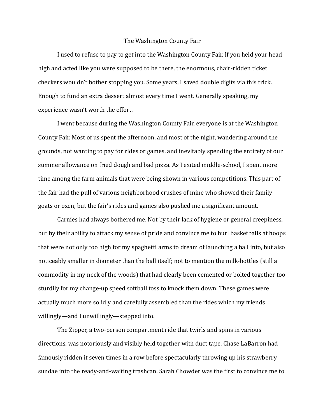## The Washington County Fair

 I used to refuse to pay to get into the Washington County Fair. If you held your head high and acted like you were supposed to be there, the enormous, chair-ridden ticket checkers wouldn't bother stopping you. Some years, I saved double digits via this trick. Enough to fund an extra dessert almost every time I went. Generally speaking, my experience wasn't worth the effort.

 I went because during the Washington County Fair, everyone is at the Washington County Fair. Most of us spent the afternoon, and most of the night, wandering around the grounds, not wanting to pay for rides or games, and inevitably spending the entirety of our summer allowance on fried dough and bad pizza. As I exited middle-school, I spent more time among the farm animals that were being shown in various competitions. This part of the fair had the pull of various neighborhood crushes of mine who showed their family goats or oxen, but the fair's rides and games also pushed me a significant amount.

 Carnies had always bothered me. Not by their lack of hygiene or general creepiness, but by their ability to attack my sense of pride and convince me to hurl basketballs at hoops that were not only too high for my spaghetti arms to dream of launching a ball into, but also noticeably smaller in diameter than the ball itself; not to mention the milk-bottles (still a commodity in my neck of the woods) that had clearly been cemented or bolted together too sturdily for my change-up speed softball toss to knock them down. These games were actually much more solidly and carefully assembled than the rides which my friends willingly—and I unwillingly—stepped into.

 The Zipper, a two-person compartment ride that twirls and spins in various directions, was notoriously and visibly held together with duct tape. Chase LaBarron had famously ridden it seven times in a row before spectacularly throwing up his strawberry sundae into the ready-and-waiting trashcan. Sarah Chowder was the first to convince me to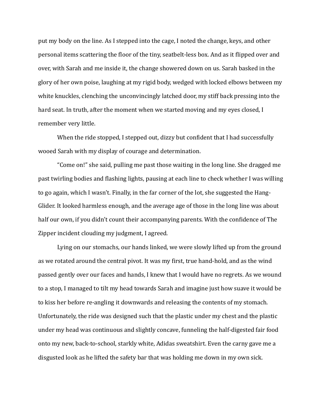put my body on the line. As I stepped into the cage, I noted the change, keys, and other personal items scattering the floor of the tiny, seatbelt-less box. And as it flipped over and over, with Sarah and me inside it, the change showered down on us. Sarah basked in the glory of her own poise, laughing at my rigid body, wedged with locked elbows between my white knuckles, clenching the unconvincingly latched door, my stiff back pressing into the hard seat. In truth, after the moment when we started moving and my eyes closed, I remember very little.

When the ride stopped, I stepped out, dizzy but confident that I had successfully wooed Sarah with my display of courage and determination.

 "Come on!" she said, pulling me past those waiting in the long line. She dragged me past twirling bodies and flashing lights, pausing at each line to check whether I was willing to go again, which I wasn't. Finally, in the far corner of the lot, she suggested the Hang-Glider. It looked harmless enough, and the average age of those in the long line was about half our own, if you didn't count their accompanying parents. With the confidence of The Zipper incident clouding my judgment, I agreed.

 Lying on our stomachs, our hands linked, we were slowly lifted up from the ground as we rotated around the central pivot. It was my first, true hand-hold, and as the wind passed gently over our faces and hands, I knew that I would have no regrets. As we wound to a stop, I managed to tilt my head towards Sarah and imagine just how suave it would be to kiss her before re-angling it downwards and releasing the contents of my stomach. Unfortunately, the ride was designed such that the plastic under my chest and the plastic under my head was continuous and slightly concave, funneling the half-digested fair food onto my new, back-to-school, starkly white, Adidas sweatshirt. Even the carny gave me a disgusted look as he lifted the safety bar that was holding me down in my own sick.